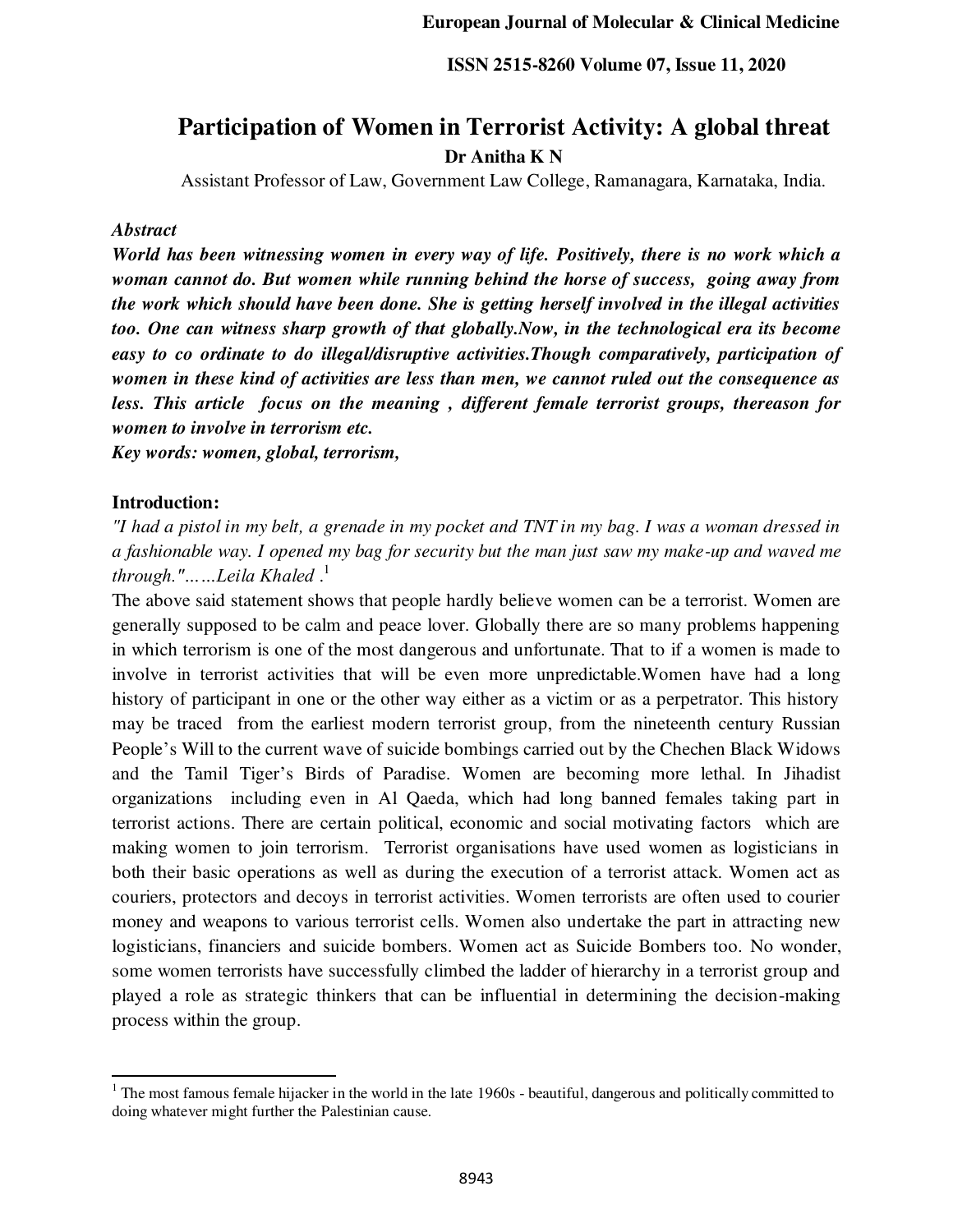# **Participation of Women in Terrorist Activity: A global threat Dr Anitha K N**

Assistant Professor of Law, Government Law College, Ramanagara, Karnataka, India.

## *Abstract*

*World has been witnessing women in every way of life. Positively, there is no work which a woman cannot do. But women while running behind the horse of success, going away from the work which should have been done. She is getting herself involved in the illegal activities too. One can witness sharp growth of that globally.Now, in the technological era its become easy to co ordinate to do illegal/disruptive activities.Though comparatively, participation of women in these kind of activities are less than men, we cannot ruled out the consequence as less. This article focus on the meaning , different female terrorist groups, thereason for women to involve in terrorism etc.* 

*Key words: women, global, terrorism,* 

## **Introduction:**

֦

*"I had a pistol in my belt, a grenade in my pocket and TNT in my bag. I was a woman dressed in a fashionable way. I opened my bag for security but the man just saw my make-up and waved me through."……Leila Khaled* . 1

The above said statement shows that people hardly believe women can be a terrorist. Women are generally supposed to be calm and peace lover. Globally there are so many problems happening in which terrorism is one of the most dangerous and unfortunate. That to if a women is made to involve in terrorist activities that will be even more unpredictable.Women have had a long history of participant in one or the other way either as a victim or as a perpetrator. This history may be traced from the earliest modern terrorist group, from the nineteenth century Russian People's Will to the current wave of suicide bombings carried out by the Chechen Black Widows and the Tamil Tiger's Birds of Paradise. Women are becoming more lethal. In Jihadist organizations including even in Al Qaeda, which had long banned females taking part in terrorist actions. There are certain political, economic and social motivating factors which are making women to join terrorism. Terrorist organisations have used women as logisticians in both their basic operations as well as during the execution of a terrorist attack. Women act as couriers, protectors and decoys in terrorist activities. Women terrorists are often used to courier money and weapons to various terrorist cells. Women also undertake the part in attracting new logisticians, financiers and suicide bombers. Women act as Suicide Bombers too. No wonder, some women terrorists have successfully climbed the ladder of hierarchy in a terrorist group and played a role as strategic thinkers that can be influential in determining the decision-making process within the group.

 $1$  The most famous female hijacker in the world in the late  $1960s$  - beautiful, dangerous and politically committed to doing whatever might further the Palestinian cause.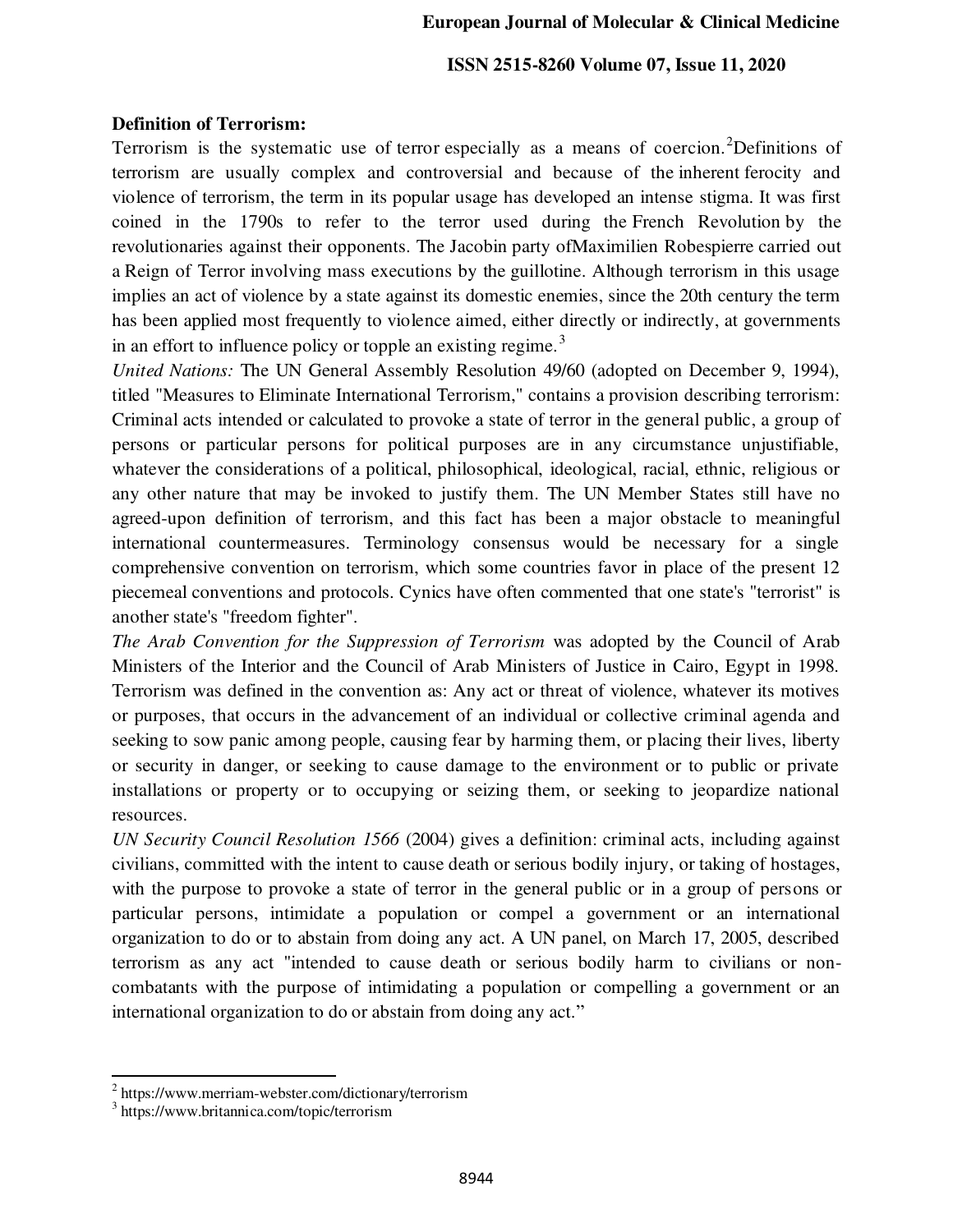## **Definition of Terrorism:**

Terrorism is the systematic use of [terror](https://www.merriam-webster.com/dictionary/terror) especially as a means of coercion.<sup>2</sup>Definitions of terrorism are usually complex and controversial and because of th[e inherent](https://www.merriam-webster.com/dictionary/inherent) ferocity and violence of terrorism, the term in its popular usage has developed an intense stigma. It was first coined in the 1790s to refer to the terror used during the [French Revolution](https://www.britannica.com/event/French-Revolution) by the revolutionaries against their opponents. The [Jacobin](https://www.britannica.com/topic/Jacobin-Club) party o[fMaximilien Robespierre](https://www.britannica.com/biography/Maximilien-Robespierre) carried out a [Reign of Terror](https://www.britannica.com/event/Reign-of-Terror) involving mass executions by th[e guillotine.](https://www.britannica.com/topic/guillotine) Although terrorism in this usage implies an act of violence by a state against its domestic enemies, since the 20th century the term has been applied most frequently to violence aimed, either directly or indirectly, at governments in an effort to influence policy or topple an existing regime.<sup>3</sup>

*United Nations:* The UN General Assembly Resolution 49/60 (adopted on December 9, 1994), titled "Measures to Eliminate International Terrorism," contains a provision describing terrorism: Criminal acts intended or calculated to provoke a state of terror in the general public, a group of persons or particular persons for political purposes are in any circumstance unjustifiable, whatever the considerations of a political, philosophical, ideological, racial, ethnic, religious or any other nature that may be invoked to justify them. The UN Member States still have no agreed-upon definition of terrorism, and this fact has been a major obstacle to meaningful international countermeasures. Terminology consensus would be necessary for a single comprehensive convention on terrorism, which some countries favor in place of the present 12 piecemeal conventions and protocols. Cynics have often commented that one state's "terrorist" is another state's "freedom fighter".

*The Arab Convention for the Suppression of Terrorism* was adopted by the Council of Arab Ministers of the Interior and the Council of Arab Ministers of Justice in Cairo, Egypt in 1998. Terrorism was defined in the convention as: Any act or threat of violence, whatever its motives or purposes, that occurs in the advancement of an individual or collective criminal agenda and seeking to sow panic among people, causing fear by harming them, or placing their lives, liberty or security in danger, or seeking to cause damage to the environment or to public or private installations or property or to occupying or seizing them, or seeking to jeopardize national resources.

*UN Security Council Resolution 1566* (2004) gives a definition: criminal acts, including against civilians, committed with the intent to cause death or serious bodily injury, or taking of hostages, with the purpose to provoke a state of terror in the general public or in a group of persons or particular persons, intimidate a population or compel a government or an international organization to do or to abstain from doing any act. A UN panel, on March 17, 2005, described terrorism as any act "intended to cause death or serious bodily harm to civilians or noncombatants with the purpose of intimidating a population or compelling a government or an international organization to do or abstain from doing any act."

<sup>&</sup>lt;sup>2</sup> https://www.merriam-webster.com/dictionary/terrorism

<sup>3</sup> https://www.britannica.com/topic/terrorism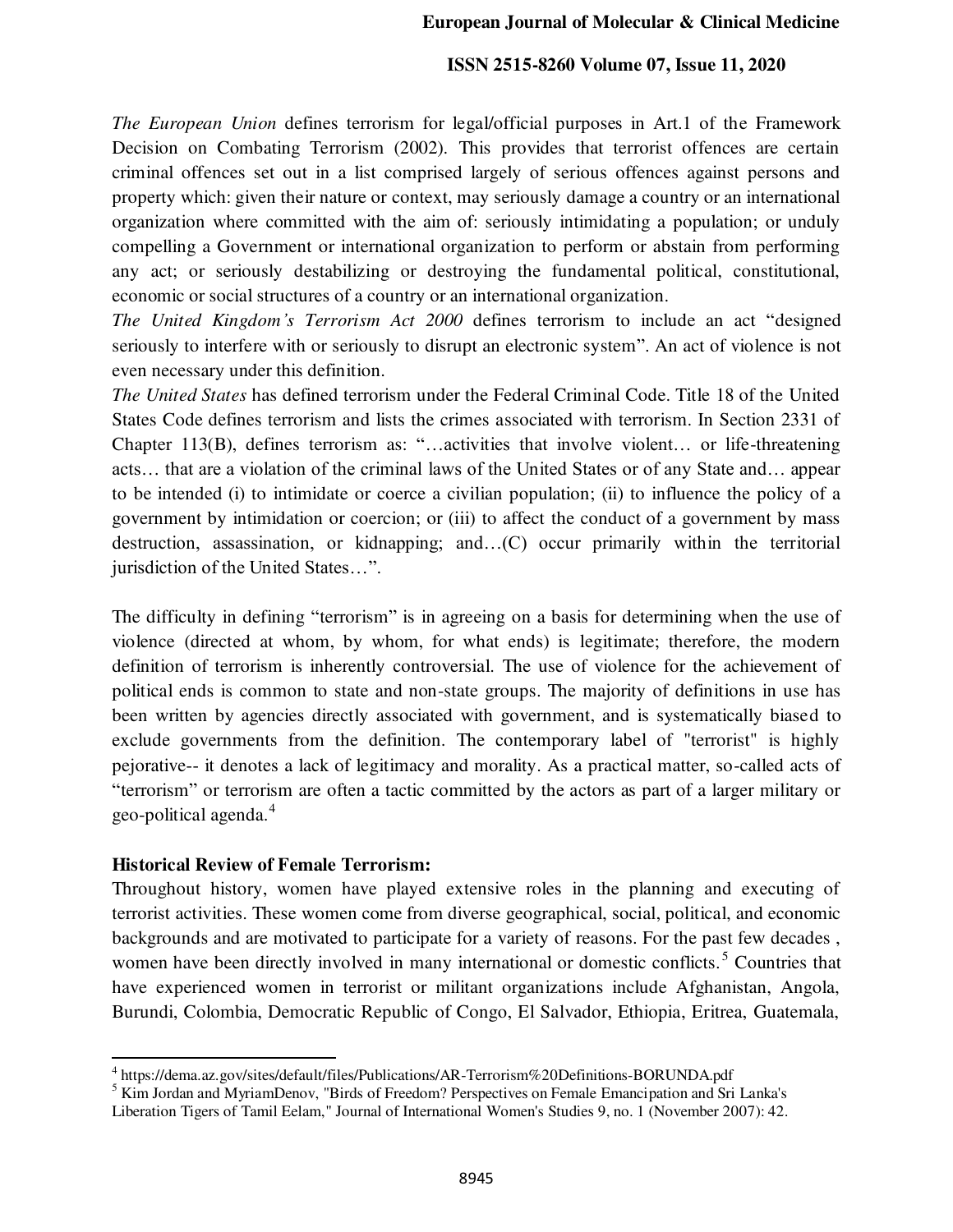*The European Union* defines terrorism for legal/official purposes in Art.1 of the Framework Decision on Combating Terrorism (2002). This provides that terrorist offences are certain criminal offences set out in a list comprised largely of serious offences against persons and property which: given their nature or context, may seriously damage a country or an international organization where committed with the aim of: seriously intimidating a population; or unduly compelling a Government or international organization to perform or abstain from performing any act; or seriously destabilizing or destroying the fundamental political, constitutional, economic or social structures of a country or an international organization.

*The United Kingdom's Terrorism Act 2000* defines terrorism to include an act "designed seriously to interfere with or seriously to disrupt an electronic system". An act of violence is not even necessary under this definition.

*The United States* has defined terrorism under the Federal Criminal Code. Title 18 of the United States Code defines terrorism and lists the crimes associated with terrorism. In Section 2331 of Chapter 113(B), defines terrorism as: "…activities that involve violent… or life-threatening acts… that are a violation of the criminal laws of the United States or of any State and… appear to be intended (i) to intimidate or coerce a civilian population; (ii) to influence the policy of a government by intimidation or coercion; or (iii) to affect the conduct of a government by mass destruction, assassination, or kidnapping; and…(C) occur primarily within the territorial jurisdiction of the United States…".

The difficulty in defining "terrorism" is in agreeing on a basis for determining when the use of violence (directed at whom, by whom, for what ends) is legitimate; therefore, the modern definition of terrorism is inherently controversial. The use of violence for the achievement of political ends is common to state and non-state groups. The majority of definitions in use has been written by agencies directly associated with government, and is systematically biased to exclude governments from the definition. The contemporary label of "terrorist" is highly pejorative-- it denotes a lack of legitimacy and morality. As a practical matter, so-called acts of "terrorism" or terrorism are often a tactic committed by the actors as part of a larger military or geo-political agenda.<sup>4</sup>

### **Historical Review of Female Terrorism:**

֦

Throughout history, women have played extensive roles in the planning and executing of terrorist activities. These women come from diverse geographical, social, political, and economic backgrounds and are motivated to participate for a variety of reasons. For the past few decades , women have been directly involved in many international or domestic conflicts.<sup>5</sup> Countries that have experienced women in terrorist or militant organizations include Afghanistan, Angola, Burundi, Colombia, Democratic Republic of Congo, El Salvador, Ethiopia, Eritrea, Guatemala,

<sup>4</sup> https://dema.az.gov/sites/default/files/Publications/AR-Terrorism%20Definitions-BORUNDA.pdf

<sup>&</sup>lt;sup>5</sup> Kim Jordan and MyriamDenov, "Birds of Freedom? Perspectives on Female Emancipation and Sri Lanka's Liberation Tigers of Tamil Eelam," Journal of International Women's Studies 9, no. 1 (November 2007): 42.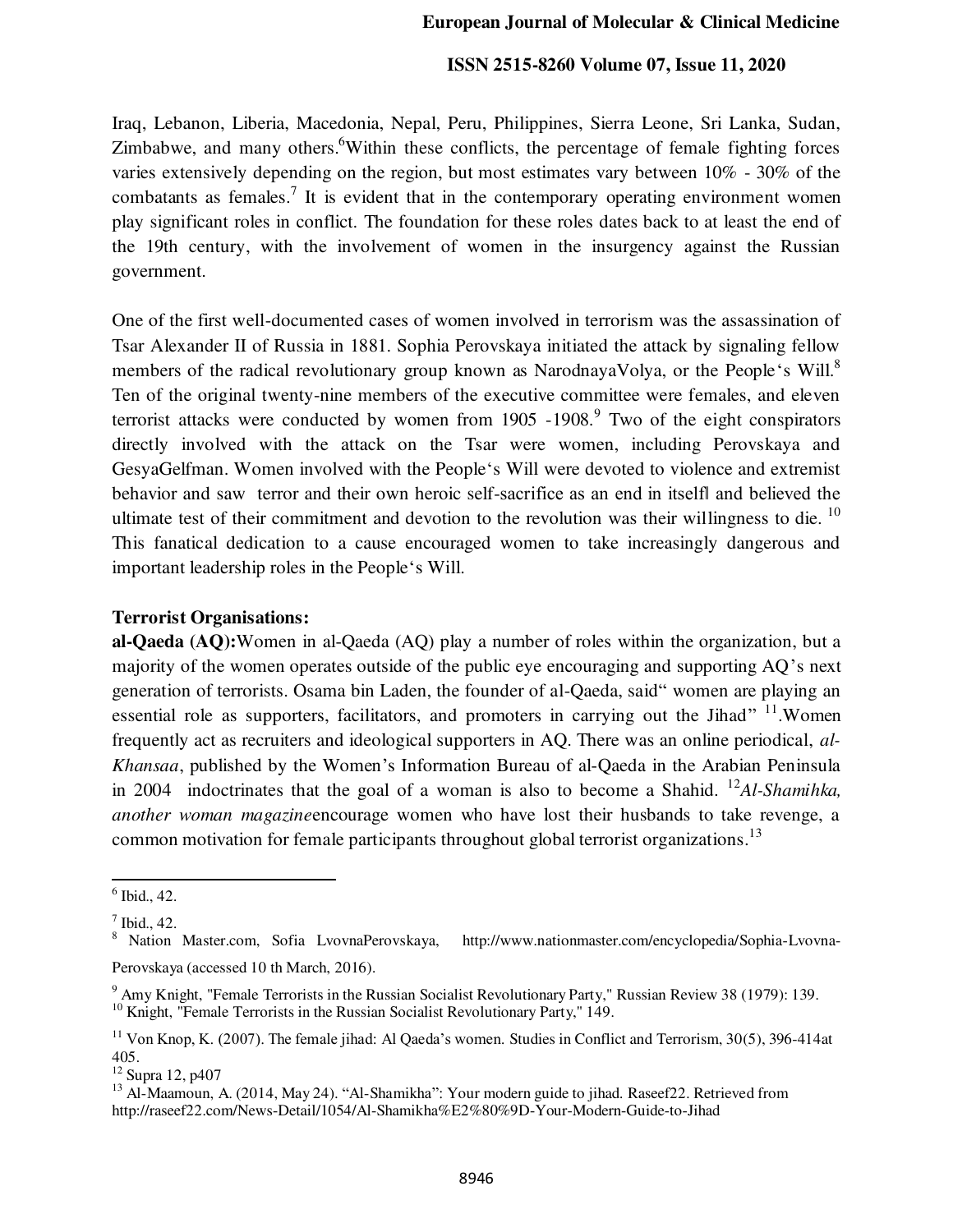Iraq, Lebanon, Liberia, Macedonia, Nepal, Peru, Philippines, Sierra Leone, Sri Lanka, Sudan, Zimbabwe, and many others. <sup>6</sup>Within these conflicts, the percentage of female fighting forces varies extensively depending on the region, but most estimates vary between 10% - 30% of the combatants as females.<sup>7</sup> It is evident that in the contemporary operating environment women play significant roles in conflict. The foundation for these roles dates back to at least the end of the 19th century, with the involvement of women in the insurgency against the Russian government.

One of the first well-documented cases of women involved in terrorism was the assassination of Tsar Alexander II of Russia in 1881. Sophia Perovskaya initiated the attack by signaling fellow members of the radical revolutionary group known as NarodnayaVolya, or the People's Will.<sup>8</sup> Ten of the original twenty-nine members of the executive committee were females, and eleven terrorist attacks were conducted by women from 1905 -1908.<sup>9</sup> Two of the eight conspirators directly involved with the attack on the Tsar were women, including Perovskaya and GesyaGelfman. Women involved with the People's Will were devoted to violence and extremist behavior and saw terror and their own heroic self-sacrifice as an end in itselfl and believed the ultimate test of their commitment and devotion to the revolution was their willingness to die.<sup>10</sup> This fanatical dedication to a cause encouraged women to take increasingly dangerous and important leadership roles in the People's Will.

## **Terrorist Organisations:**

**al-Qaeda (AQ):**Women in al-Qaeda (AQ) play a number of roles within the organization, but a majority of the women operates outside of the public eye encouraging and supporting AQ's next generation of terrorists. Osama bin Laden, the founder of al-Qaeda, said" women are playing an essential role as supporters, facilitators, and promoters in carrying out the Jihad" <sup>11</sup>. Women frequently act as recruiters and ideological supporters in AQ. There was an online periodical, *al-Khansaa*, published by the Women's Information Bureau of al-Qaeda in the Arabian Peninsula in 2004 indoctrinates that the goal of a woman is also to become a Shahid. <sup>12</sup>*Al-Shamihka*, *another woman magazine*encourage women who have lost their husbands to take revenge, a common motivation for female participants throughout global terrorist organizations.<sup>13</sup>

<sup>6</sup> Ibid., 42.

 $^7$  Ibid., 42.

<sup>&</sup>lt;sup>8</sup> Nation Master.com, Sofia LvovnaPerovskaya, http://www.nationmaster.com/encyclopedia/Sophia-Lvovna-Perovskaya (accessed 10 th March, 2016).

<sup>&</sup>lt;sup>9</sup> Amy Knight, "Female Terrorists in the Russian Socialist Revolutionary Party," Russian Review 38 (1979): 139. <sup>10</sup> Knight, "Female Terrorists in the Russian Socialist Revolutionary Party," 149.

<sup>&</sup>lt;sup>11</sup> Von Knop, K. (2007). The female jihad: Al Qaeda's women. Studies in Conflict and Terrorism,  $30(5)$ ,  $396-414$ at 405.

 $12$  Supra 12, p407

<sup>&</sup>lt;sup>13</sup> Al-Maamoun, A. (2014, May 24). "Al-Shamikha": Your modern guide to jihad. Raseef22. Retrieved from http://raseef22.com/News-Detail/1054/Al-Shamikha%E2%80%9D-Your-Modern-Guide-to-Jihad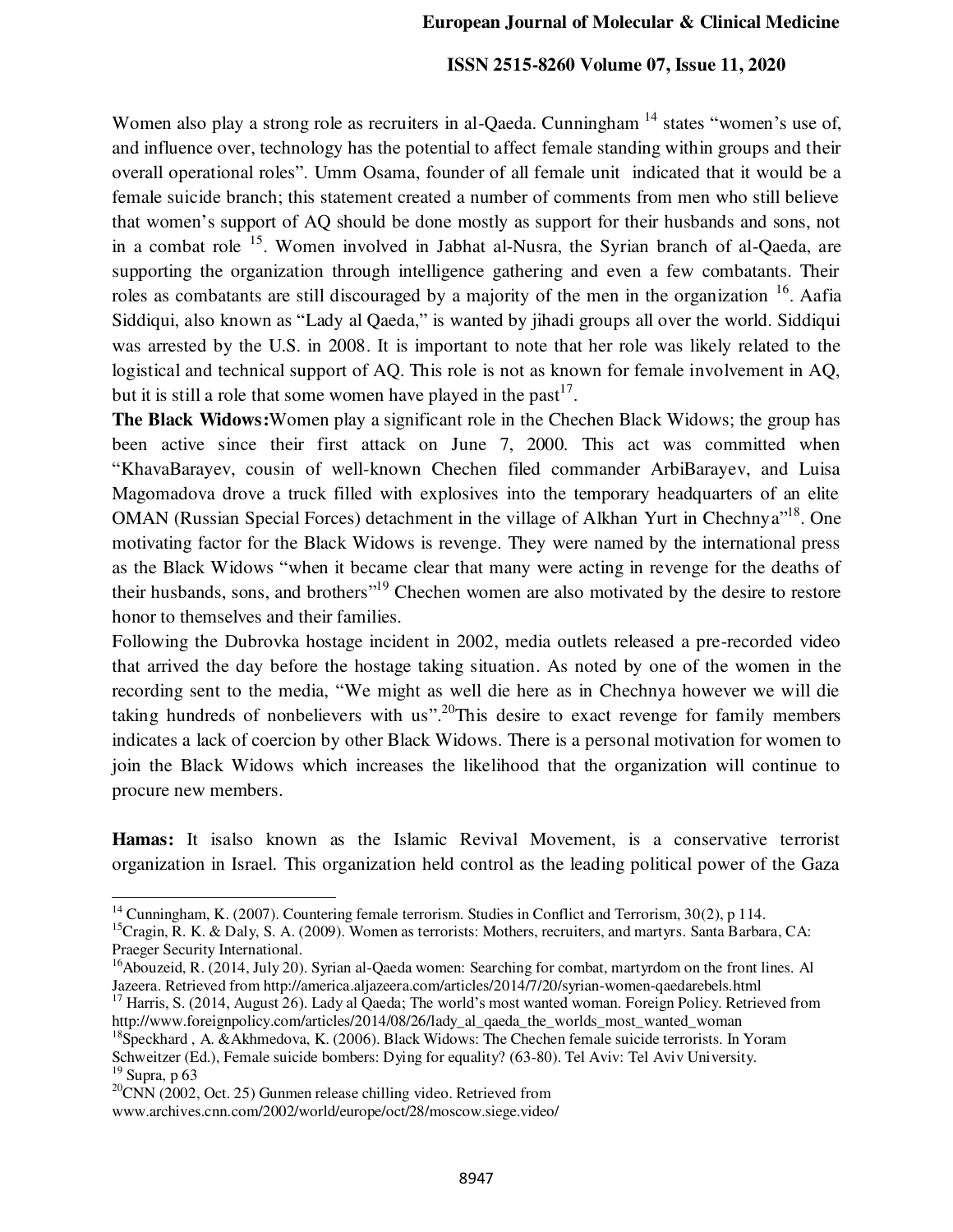Women also play a strong role as recruiters in al-Qaeda. Cunningham <sup>14</sup> states "women's use of, and influence over, technology has the potential to affect female standing within groups and their overall operational roles". Umm Osama, founder of all female unit indicated that it would be a female suicide branch; this statement created a number of comments from men who still believe that women's support of AQ should be done mostly as support for their husbands and sons, not in a combat role <sup>15</sup>. Women involved in Jabhat al-Nusra, the Syrian branch of al-Qaeda, are supporting the organization through intelligence gathering and even a few combatants. Their roles as combatants are still discouraged by a majority of the men in the organization  $16$ . Aafia Siddiqui, also known as "Lady al Qaeda," is wanted by jihadi groups all over the world. Siddiqui was arrested by the U.S. in 2008. It is important to note that her role was likely related to the logistical and technical support of AQ. This role is not as known for female involvement in AQ, but it is still a role that some women have played in the past<sup>17</sup>.

**The Black Widows:**Women play a significant role in the Chechen Black Widows; the group has been active since their first attack on June 7, 2000. This act was committed when "KhavaBarayev, cousin of well-known Chechen filed commander ArbiBarayev, and Luisa Magomadova drove a truck filled with explosives into the temporary headquarters of an elite OMAN (Russian Special Forces) detachment in the village of Alkhan Yurt in Chechnya<sup>18</sup>. One motivating factor for the Black Widows is revenge. They were named by the international press as the Black Widows "when it became clear that many were acting in revenge for the deaths of their husbands, sons, and brothers<sup>"19</sup> Chechen women are also motivated by the desire to restore honor to themselves and their families.

Following the Dubrovka hostage incident in 2002, media outlets released a pre-recorded video that arrived the day before the hostage taking situation. As noted by one of the women in the recording sent to the media, "We might as well die here as in Chechnya however we will die taking hundreds of nonbelievers with us".<sup>20</sup>This desire to exact revenge for family members indicates a lack of coercion by other Black Widows. There is a personal motivation for women to join the Black Widows which increases the likelihood that the organization will continue to procure new members.

**Hamas:** It isalso known as the Islamic Revival Movement, is a conservative terrorist organization in Israel. This organization held control as the leading political power of the Gaza

<sup>&</sup>lt;sup>14</sup> Cunningham, K. (2007). Countering female terrorism. Studies in Conflict and Terrorism, 30(2), p 114.

<sup>&</sup>lt;sup>15</sup>Cragin, R. K. & Daly, S. A. (2009). Women as terrorists: Mothers, recruiters, and martyrs. Santa Barbara, CA: Praeger Security International.

<sup>&</sup>lt;sup>16</sup>Abouzeid, R. (2014, July 20). Syrian al-Qaeda women: Searching for combat, martyrdom on the front lines. Al Jazeera. Retrieved from http://america.aljazeera.com/articles/2014/7/20/syrian-women-qaedarebels.html

<sup>&</sup>lt;sup>17</sup> Harris, S. (2014, August 26). Lady al Qaeda; The world's most wanted woman. Foreign Policy. Retrieved from http://www.foreignpolicy.com/articles/2014/08/26/lady al qaeda the worlds most wanted woman

 $18$ Speckhard, A. &Akhmedova, K. (2006). Black Widows: The Chechen female suicide terrorists. In Yoram Schweitzer (Ed.), Female suicide bombers: Dying for equality? (63-80). Tel Aviv: Tel Aviv University. <sup>19</sup> Supra, p 63

 $^{20}$ CNN (2002, Oct. 25) Gunmen release chilling video. Retrieved from

www.archives.cnn.com/2002/world/europe/oct/28/moscow.siege.video/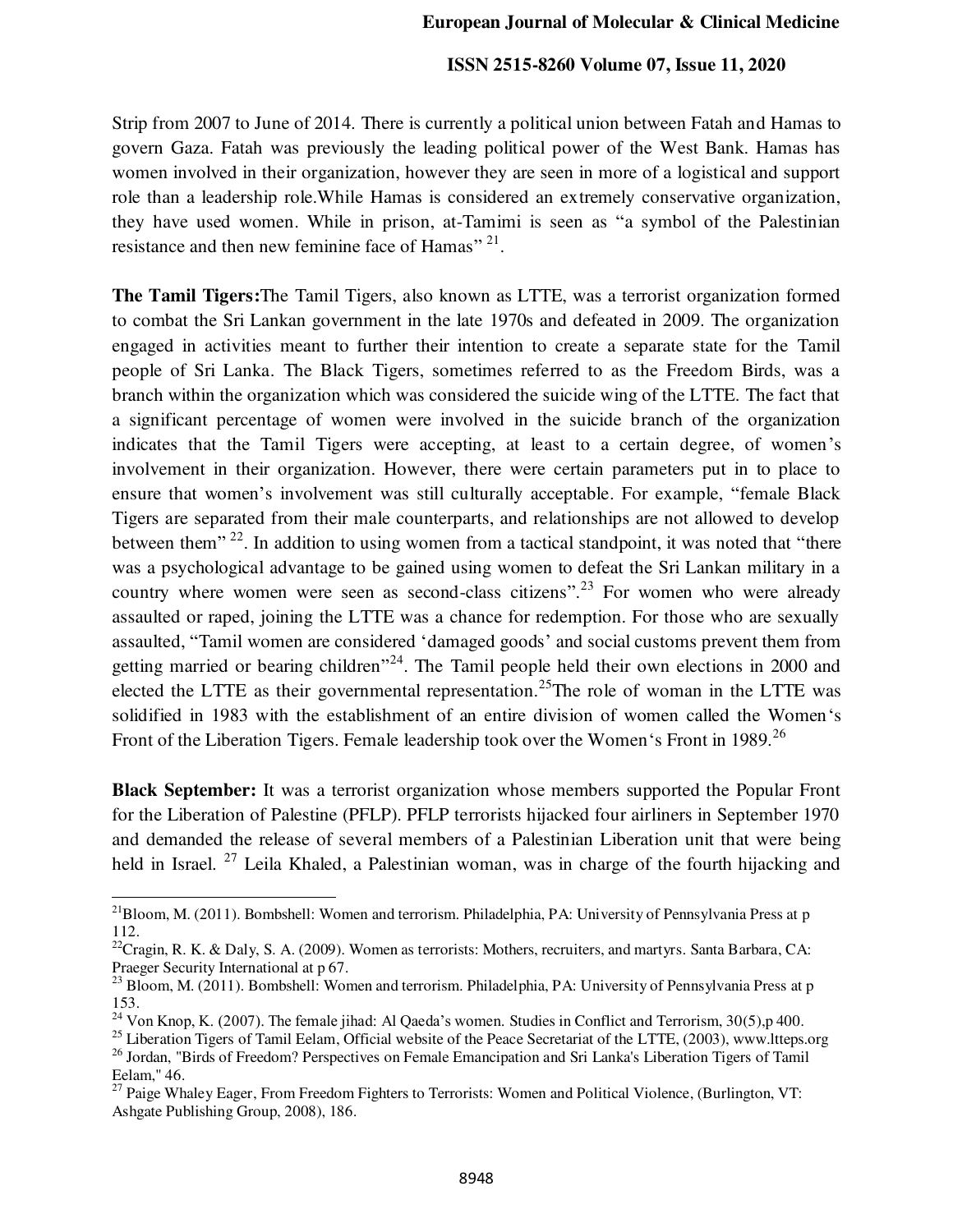Strip from 2007 to June of 2014. There is currently a political union between Fatah and Hamas to govern Gaza. Fatah was previously the leading political power of the West Bank. Hamas has women involved in their organization, however they are seen in more of a logistical and support role than a leadership role.While Hamas is considered an extremely conservative organization, they have used women. While in prison, at-Tamimi is seen as "a symbol of the Palestinian resistance and then new feminine face of Hamas"<sup>21</sup>.

**The Tamil Tigers:**The Tamil Tigers, also known as LTTE, was a terrorist organization formed to combat the Sri Lankan government in the late 1970s and defeated in 2009. The organization engaged in activities meant to further their intention to create a separate state for the Tamil people of Sri Lanka. The Black Tigers, sometimes referred to as the Freedom Birds, was a branch within the organization which was considered the suicide wing of the LTTE. The fact that a significant percentage of women were involved in the suicide branch of the organization indicates that the Tamil Tigers were accepting, at least to a certain degree, of women's involvement in their organization. However, there were certain parameters put in to place to ensure that women's involvement was still culturally acceptable. For example, "female Black Tigers are separated from their male counterparts, and relationships are not allowed to develop between them"<sup>22</sup>. In addition to using women from a tactical standpoint, it was noted that "there was a psychological advantage to be gained using women to defeat the Sri Lankan military in a country where women were seen as second-class citizens".<sup>23</sup> For women who were already assaulted or raped, joining the LTTE was a chance for redemption. For those who are sexually assaulted, "Tamil women are considered 'damaged goods' and social customs prevent them from getting married or bearing children<sup>"24</sup>. The Tamil people held their own elections in 2000 and elected the LTTE as their governmental representation.<sup>25</sup>The role of woman in the LTTE was solidified in 1983 with the establishment of an entire division of women called the Women's Front of the Liberation Tigers. Female leadership took over the Women's Front in 1989.<sup>26</sup>

**Black September:** It was a terrorist organization whose members supported the Popular Front for the Liberation of Palestine (PFLP). PFLP terrorists hijacked four airliners in September 1970 and demanded the release of several members of a Palestinian Liberation unit that were being held in Israel. <sup>27</sup> Leila Khaled, a Palestinian woman, was in charge of the fourth hijacking and

<sup>&</sup>lt;sup>21</sup>Bloom, M. (2011). Bombshell: Women and terrorism. Philadelphia, PA: University of Pennsylvania Press at p 112.

<sup>&</sup>lt;sup>22</sup>Cragin, R. K. & Daly, S. A. (2009). Women as terrorists: Mothers, recruiters, and martyrs. Santa Barbara, CA: Praeger Security International at p 67.

<sup>&</sup>lt;sup>23</sup> Bloom, M. (2011). Bombshell: Women and terrorism. Philadelphia, PA: University of Pennsylvania Press at p 153.

<sup>&</sup>lt;sup>24</sup> Von Knop, K. (2007). The female jihad: Al Qaeda's women. Studies in Conflict and Terrorism,  $30(5)$ , p 400.

 $^{25}$  Liberation Tigers of Tamil Eelam, Official website of the Peace Secretariat of the LTTE, (2003), www.ltteps.org <sup>26</sup> Jordan, "Birds of Freedom? Perspectives on Female Emancipation and Sri Lanka's Liberation Tigers of Tamil Eelam," 46.

<sup>&</sup>lt;sup>27</sup> Paige Whaley Eager, From Freedom Fighters to Terrorists: Women and Political Violence, (Burlington, VT: Ashgate Publishing Group, 2008), 186.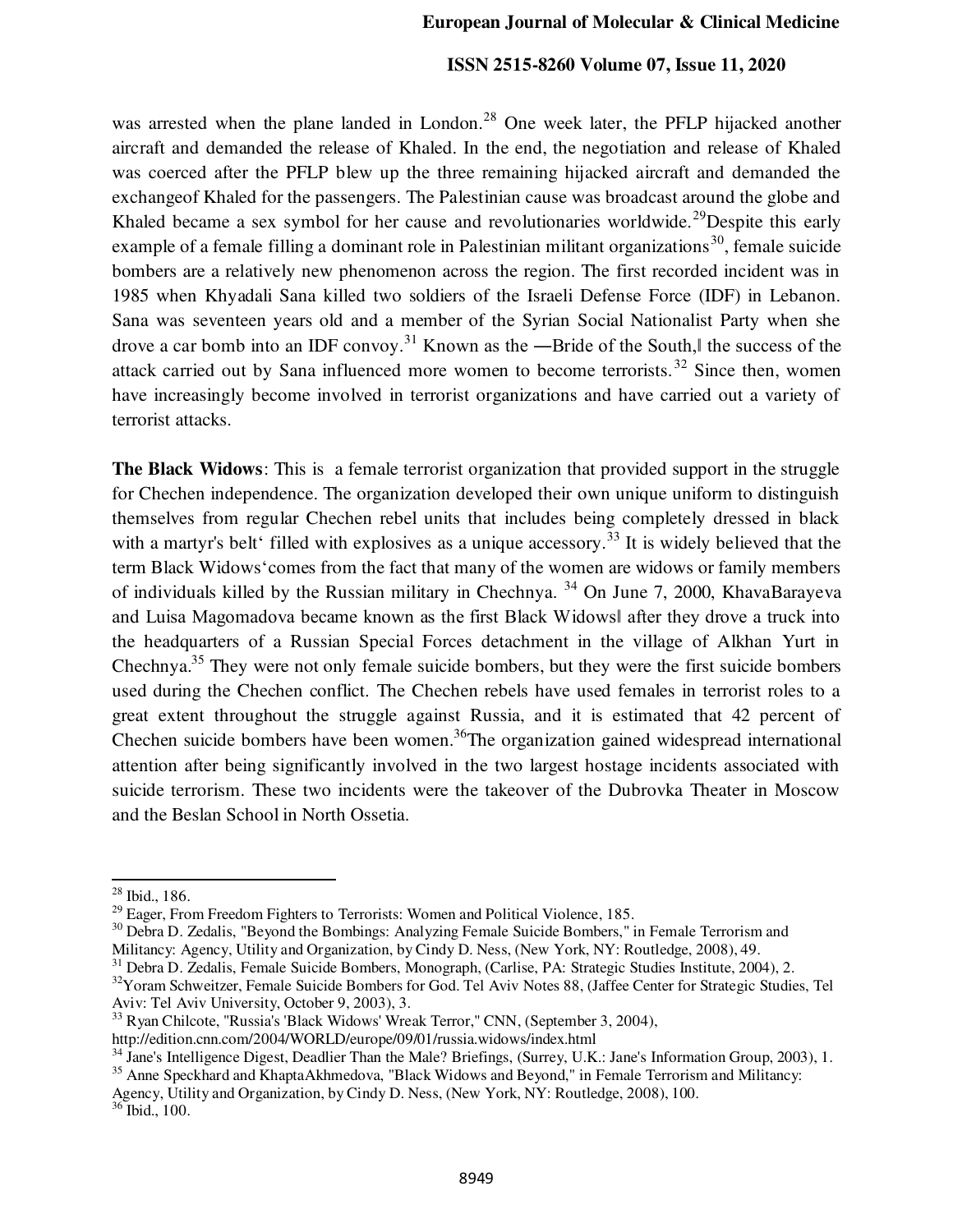was arrested when the plane landed in London.<sup>28</sup> One week later, the PFLP hijacked another aircraft and demanded the release of Khaled. In the end, the negotiation and release of Khaled was coerced after the PFLP blew up the three remaining hijacked aircraft and demanded the exchangeof Khaled for the passengers. The Palestinian cause was broadcast around the globe and Khaled became a sex symbol for her cause and revolutionaries worldwide.<sup>29</sup>Despite this early example of a female filling a dominant role in Palestinian militant organizations<sup>30</sup>, female suicide bombers are a relatively new phenomenon across the region. The first recorded incident was in 1985 when Khyadali Sana killed two soldiers of the Israeli Defense Force (IDF) in Lebanon. Sana was seventeen years old and a member of the Syrian Social Nationalist Party when she drove a car bomb into an IDF convoy.<sup>31</sup> Known as the —Bride of the South, the success of the attack carried out by Sana influenced more women to become terrorists.<sup>32</sup> Since then, women have increasingly become involved in terrorist organizations and have carried out a variety of terrorist attacks.

**The Black Widows**: This is a female terrorist organization that provided support in the struggle for Chechen independence. The organization developed their own unique uniform to distinguish themselves from regular Chechen rebel units that includes being completely dressed in black with a martyr's belt' filled with explosives as a unique accessory.<sup>33</sup> It is widely believed that the term Black Widows'comes from the fact that many of the women are widows or family members of individuals killed by the Russian military in Chechnya. <sup>34</sup> On June 7, 2000, KhavaBarayeva and Luisa Magomadova became known as the first Black Widows‖ after they drove a truck into the headquarters of a Russian Special Forces detachment in the village of Alkhan Yurt in Chechnya.<sup>35</sup> They were not only female suicide bombers, but they were the first suicide bombers used during the Chechen conflict. The Chechen rebels have used females in terrorist roles to a great extent throughout the struggle against Russia, and it is estimated that 42 percent of Chechen suicide bombers have been women.<sup>36</sup>The organization gained widespread international attention after being significantly involved in the two largest hostage incidents associated with suicide terrorism. These two incidents were the takeover of the Dubrovka Theater in Moscow and the Beslan School in North Ossetia.

<sup>28</sup> Ibid., 186.

 $^{29}$  Eager, From Freedom Fighters to Terrorists: Women and Political Violence, 185.

<sup>&</sup>lt;sup>30</sup> Debra D. Zedalis, "Beyond the Bombings: Analyzing Female Suicide Bombers," in Female Terrorism and Militancy: Agency, Utility and Organization, by Cindy D. Ness, (New York, NY: Routledge, 2008), 49.

<sup>31</sup> Debra D. Zedalis, Female Suicide Bombers, Monograph, (Carlise, PA: Strategic Studies Institute, 2004), 2.

<sup>&</sup>lt;sup>32</sup>Yoram Schweitzer, Female Suicide Bombers for God. Tel Aviv Notes 88, (Jaffee Center for Strategic Studies, Tel Aviv: Tel Aviv University, October 9, 2003), 3.

<sup>33</sup> Ryan Chilcote, "Russia's 'Black Widows' Wreak Terror," CNN, (September 3, 2004),

http://edition.cnn.com/2004/WORLD/europe/09/01/russia.widows/index.html

<sup>&</sup>lt;sup>34</sup> Jane's Intelligence Digest, Deadlier Than the Male? Briefings, (Surrey, U.K.: Jane's Information Group, 2003), 1. <sup>35</sup> Anne Speckhard and KhaptaAkhmedova, "Black Widows and Beyond," in Female Terrorism and Militancy:

Agency, Utility and Organization, by Cindy D. Ness, (New York, NY: Routledge, 2008), 100.

<sup>36</sup> Ibid., 100.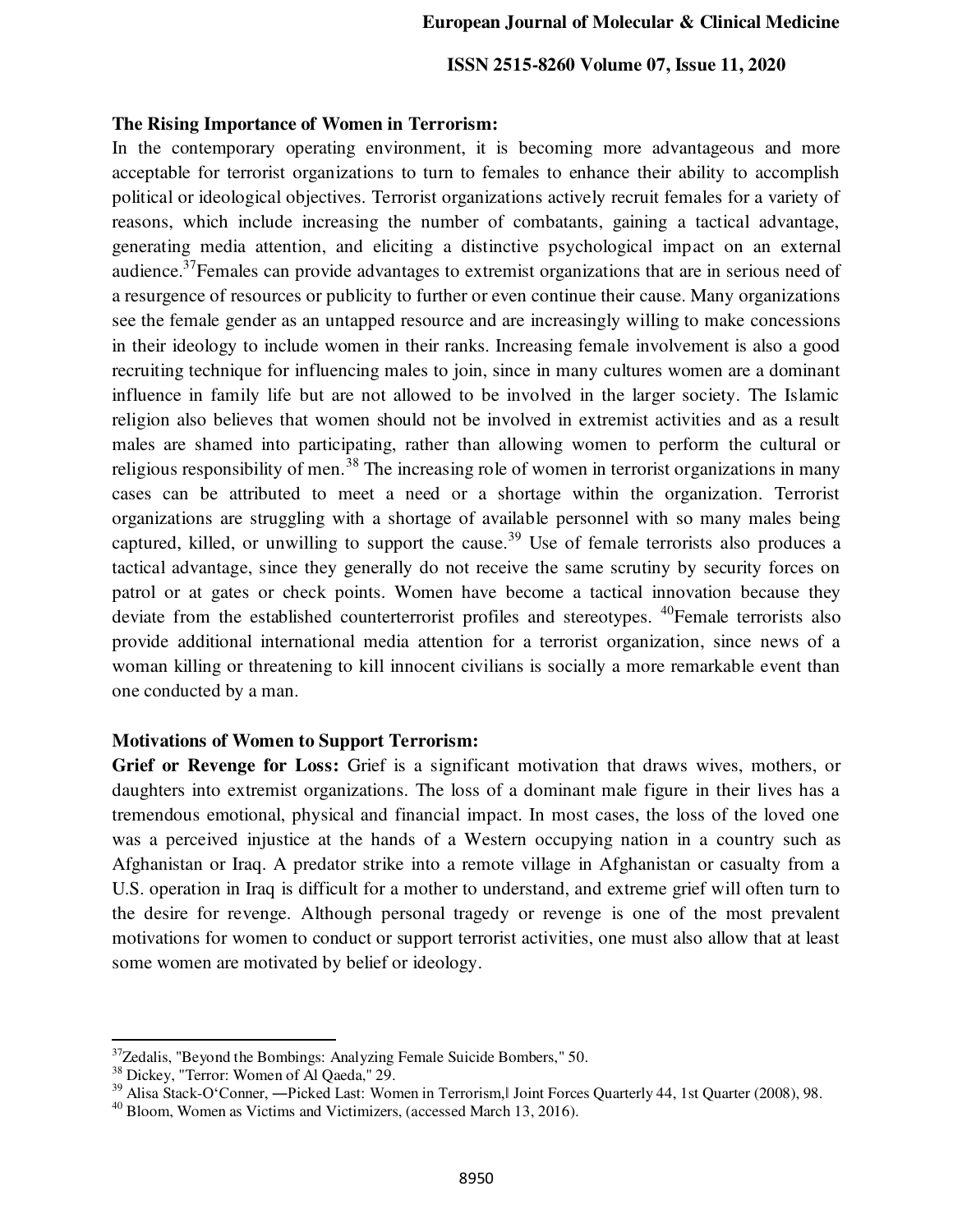#### **European Journal of Molecular & Clinical Medicine**

## **ISSN 2515-8260 Volume 07, Issue 11, 2020**

#### **The Rising Importance of Women in Terrorism:**

In the contemporary operating environment, it is becoming more advantageous and more acceptable for terrorist organizations to turn to females to enhance their ability to accomplish political or ideological objectives. Terrorist organizations actively recruit females for a variety of reasons, which include increasing the number of combatants, gaining a tactical advantage, generating media attention, and eliciting a distinctive psychological impact on an external audience.<sup>37</sup>Females can provide advantages to extremist organizations that are in serious need of a resurgence of resources or publicity to further or even continue their cause. Many organizations see the female gender as an untapped resource and are increasingly willing to make concessions in their ideology to include women in their ranks. Increasing female involvement is also a good recruiting technique for influencing males to join, since in many cultures women are a dominant influence in family life but are not allowed to be involved in the larger society. The Islamic religion also believes that women should not be involved in extremist activities and as a result males are shamed into participating, rather than allowing women to perform the cultural or religious responsibility of men.<sup>38</sup> The increasing role of women in terrorist organizations in many cases can be attributed to meet a need or a shortage within the organization. Terrorist organizations are struggling with a shortage of available personnel with so many males being captured, killed, or unwilling to support the cause.<sup>39</sup> Use of female terrorists also produces a tactical advantage, since they generally do not receive the same scrutiny by security forces on patrol or at gates or check points. Women have become a tactical innovation because they deviate from the established counterterrorist profiles and stereotypes. <sup>40</sup>Female terrorists also provide additional international media attention for a terrorist organization, since news of a woman killing or threatening to kill innocent civilians is socially a more remarkable event than one conducted by a man.

#### **Motivations of Women to Support Terrorism:**

**Grief or Revenge for Loss:** Grief is a significant motivation that draws wives, mothers, or daughters into extremist organizations. The loss of a dominant male figure in their lives has a tremendous emotional, physical and financial impact. In most cases, the loss of the loved one was a perceived injustice at the hands of a Western occupying nation in a country such as Afghanistan or Iraq. A predator strike into a remote village in Afghanistan or casualty from a U.S. operation in Iraq is difficult for a mother to understand, and extreme grief will often turn to the desire for revenge. Although personal tragedy or revenge is one of the most prevalent motivations for women to conduct or support terrorist activities, one must also allow that at least some women are motivated by belief or ideology.

<sup>&</sup>lt;sup>37</sup>Zedalis, "Beyond the Bombings: Analyzing Female Suicide Bombers," 50.

<sup>&</sup>lt;sup>38</sup> Dickey, "Terror: Women of Al Qaeda," 29.

<sup>&</sup>lt;sup>39</sup> Alisa Stack-O'Conner, —Picked Last: Women in Terrorism, Joint Forces Quarterly 44, 1st Quarter (2008), 98.

<sup>40</sup> Bloom, Women as Victims and Victimizers, (accessed March 13, 2016).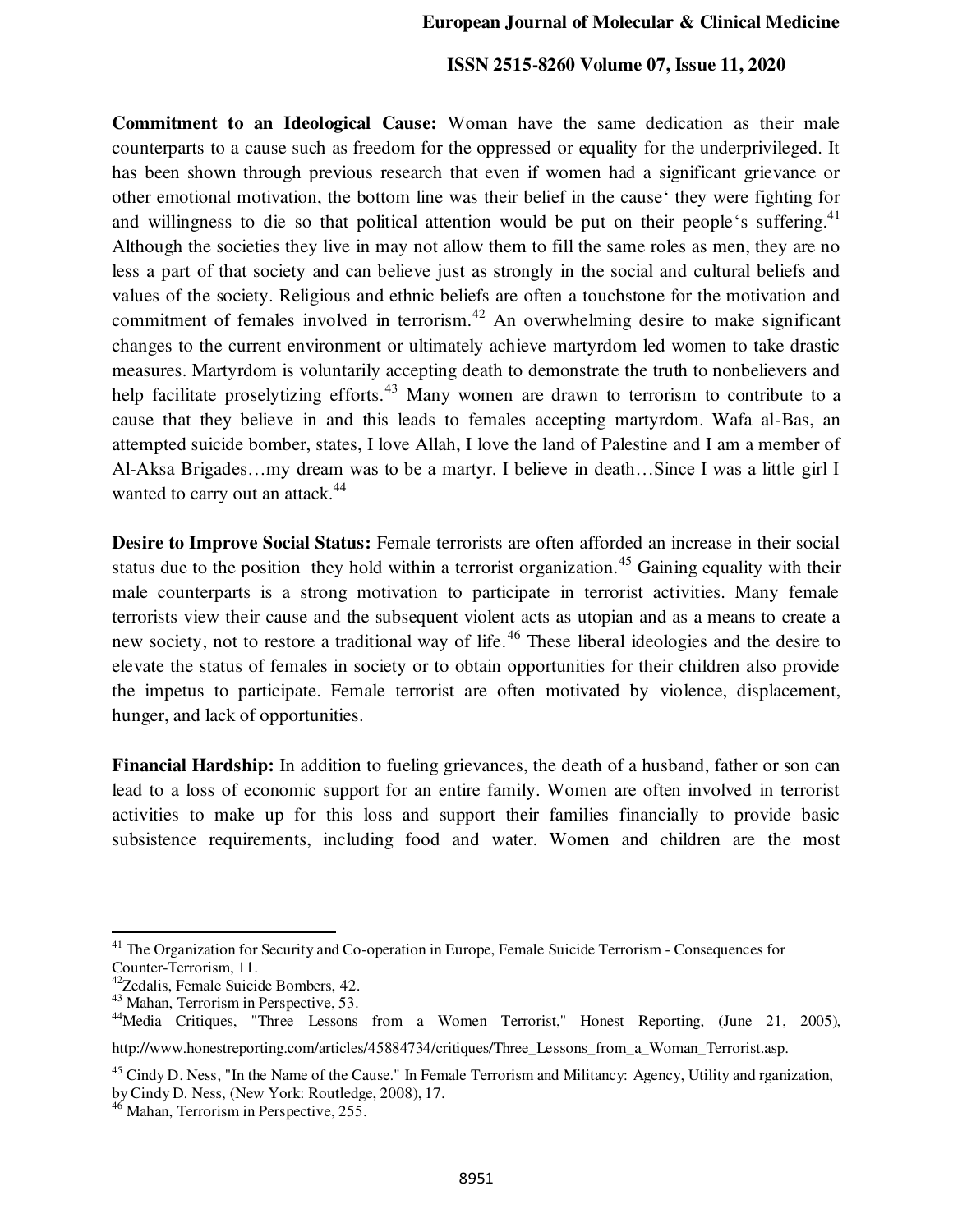#### **European Journal of Molecular & Clinical Medicine**

## **ISSN 2515-8260 Volume 07, Issue 11, 2020**

**Commitment to an Ideological Cause:** Woman have the same dedication as their male counterparts to a cause such as freedom for the oppressed or equality for the underprivileged. It has been shown through previous research that even if women had a significant grievance or other emotional motivation, the bottom line was their belief in the cause' they were fighting for and willingness to die so that political attention would be put on their people's suffering.<sup>41</sup> Although the societies they live in may not allow them to fill the same roles as men, they are no less a part of that society and can believe just as strongly in the social and cultural beliefs and values of the society. Religious and ethnic beliefs are often a touchstone for the motivation and commitment of females involved in terrorism.<sup>42</sup> An overwhelming desire to make significant changes to the current environment or ultimately achieve martyrdom led women to take drastic measures. Martyrdom is voluntarily accepting death to demonstrate the truth to nonbelievers and help facilitate proselytizing efforts.<sup>43</sup> Many women are drawn to terrorism to contribute to a cause that they believe in and this leads to females accepting martyrdom. Wafa al-Bas, an attempted suicide bomber, states, I love Allah, I love the land of Palestine and I am a member of Al-Aksa Brigades…my dream was to be a martyr. I believe in death…Since I was a little girl I wanted to carry out an attack.<sup>44</sup>

**Desire to Improve Social Status:** Female terrorists are often afforded an increase in their social status due to the position they hold within a terrorist organization.<sup>45</sup> Gaining equality with their male counterparts is a strong motivation to participate in terrorist activities. Many female terrorists view their cause and the subsequent violent acts as utopian and as a means to create a new society, not to restore a traditional way of life.<sup>46</sup> These liberal ideologies and the desire to elevate the status of females in society or to obtain opportunities for their children also provide the impetus to participate. Female terrorist are often motivated by violence, displacement, hunger, and lack of opportunities.

**Financial Hardship:** In addition to fueling grievances, the death of a husband, father or son can lead to a loss of economic support for an entire family. Women are often involved in terrorist activities to make up for this loss and support their families financially to provide basic subsistence requirements, including food and water. Women and children are the most

<sup>&</sup>lt;sup>41</sup> The Organization for Security and Co-operation in Europe, Female Suicide Terrorism - Consequences for Counter-Terrorism, 11.

<sup>&</sup>lt;sup>42</sup>Zedalis, Female Suicide Bombers, 42.

<sup>43</sup> Mahan, Terrorism in Perspective, 53.

<sup>&</sup>lt;sup>44</sup>Media Critiques, "Three Lessons from a Women Terrorist," Honest Reporting, (June 21, 2005),

http://www.honestreporting.com/articles/45884734/critiques/Three\_Lessons\_from\_a\_Woman\_Terrorist.asp.

 $^{45}$  Cindy D. Ness, "In the Name of the Cause." In Female Terrorism and Militancy: Agency, Utility and rganization, by Cindy D. Ness, (New York: Routledge, 2008), 17.

<sup>&</sup>lt;sup>46</sup> Mahan, Terrorism in Perspective, 255.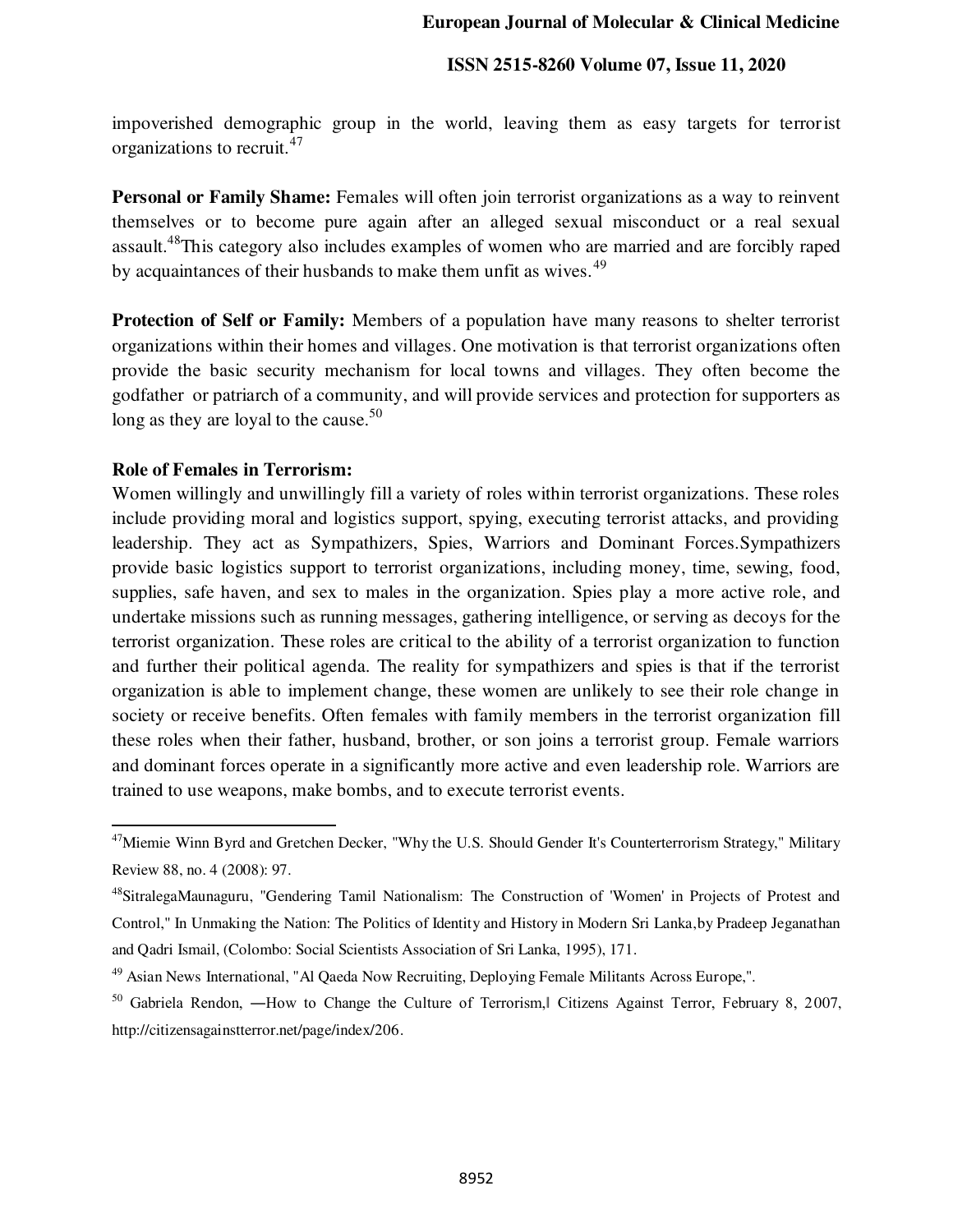impoverished demographic group in the world, leaving them as easy targets for terrorist organizations to recruit.<sup>47</sup>

Personal or Family Shame: Females will often join terrorist organizations as a way to reinvent themselves or to become pure again after an alleged sexual misconduct or a real sexual assault.<sup>48</sup>This category also includes examples of women who are married and are forcibly raped by acquaintances of their husbands to make them unfit as wives.<sup>49</sup>

**Protection of Self or Family:** Members of a population have many reasons to shelter terrorist organizations within their homes and villages. One motivation is that terrorist organizations often provide the basic security mechanism for local towns and villages. They often become the godfather or patriarch of a community, and will provide services and protection for supporters as long as they are loyal to the cause.<sup>50</sup>

## **Role of Females in Terrorism:**

֦

Women willingly and unwillingly fill a variety of roles within terrorist organizations. These roles include providing moral and logistics support, spying, executing terrorist attacks, and providing leadership. They act as Sympathizers, Spies, Warriors and Dominant Forces.Sympathizers provide basic logistics support to terrorist organizations, including money, time, sewing, food, supplies, safe haven, and sex to males in the organization. Spies play a more active role, and undertake missions such as running messages, gathering intelligence, or serving as decoys for the terrorist organization. These roles are critical to the ability of a terrorist organization to function and further their political agenda. The reality for sympathizers and spies is that if the terrorist organization is able to implement change, these women are unlikely to see their role change in society or receive benefits. Often females with family members in the terrorist organization fill these roles when their father, husband, brother, or son joins a terrorist group. Female warriors and dominant forces operate in a significantly more active and even leadership role. Warriors are trained to use weapons, make bombs, and to execute terrorist events.

<sup>&</sup>lt;sup>47</sup>Miemie Winn Byrd and Gretchen Decker, "Why the U.S. Should Gender It's Counterterrorism Strategy," Military Review 88, no. 4 (2008): 97.

<sup>48</sup>SitralegaMaunaguru, "Gendering Tamil Nationalism: The Construction of 'Women' in Projects of Protest and Control," In Unmaking the Nation: The Politics of Identity and History in Modern Sri Lanka,by Pradeep Jeganathan and Qadri Ismail, (Colombo: Social Scientists Association of Sri Lanka, 1995), 171.

<sup>&</sup>lt;sup>49</sup> Asian News International, "Al Qaeda Now Recruiting, Deploying Female Militants Across Europe,".

<sup>50</sup> Gabriela Rendon, ―How to Change the Culture of Terrorism,‖ Citizens Against Terror, February 8, 2007, http://citizensagainstterror.net/page/index/206.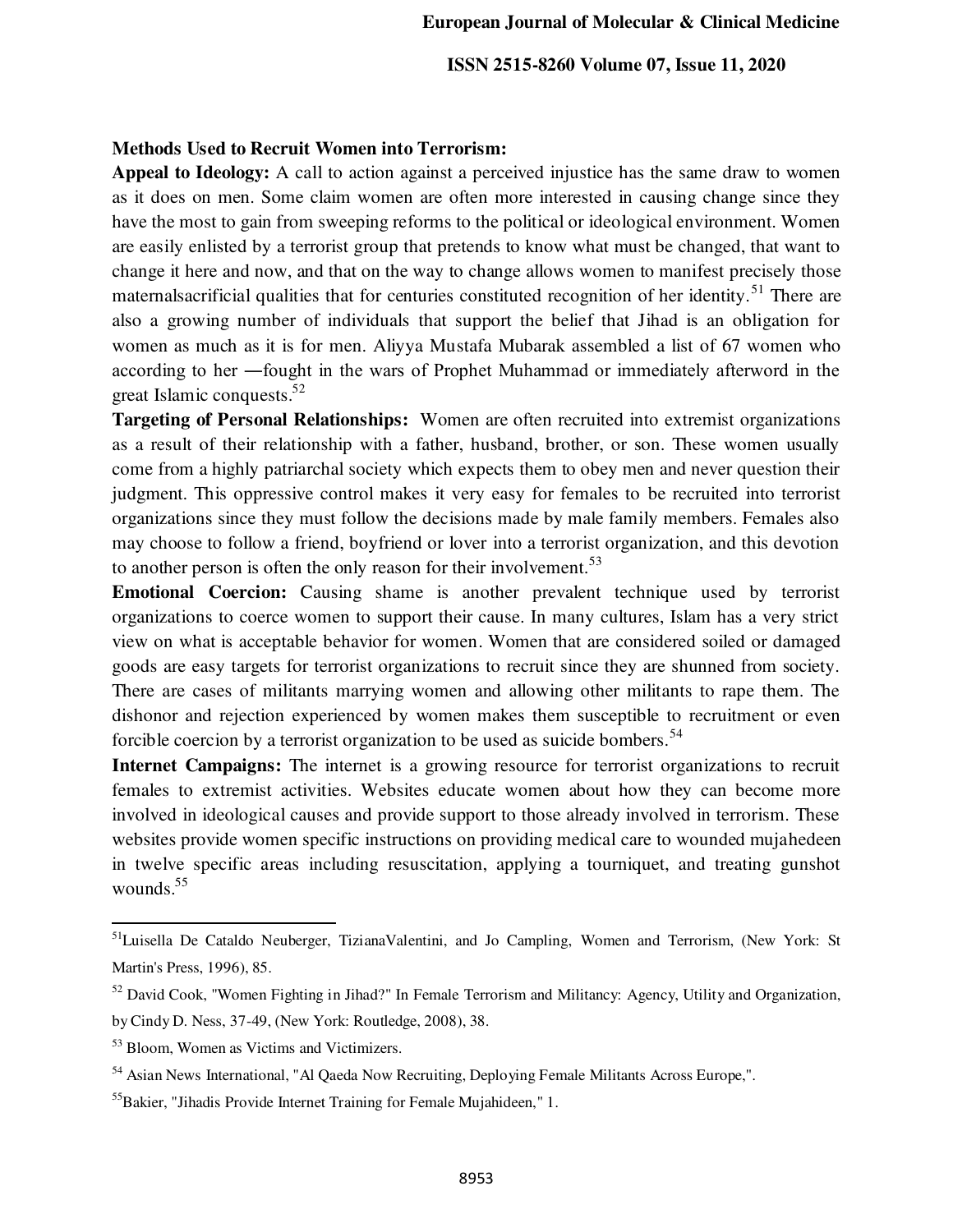## **Methods Used to Recruit Women into Terrorism:**

**Appeal to Ideology:** A call to action against a perceived injustice has the same draw to women as it does on men. Some claim women are often more interested in causing change since they have the most to gain from sweeping reforms to the political or ideological environment. Women are easily enlisted by a terrorist group that pretends to know what must be changed, that want to change it here and now, and that on the way to change allows women to manifest precisely those maternalsacrificial qualities that for centuries constituted recognition of her identity.<sup>51</sup> There are also a growing number of individuals that support the belief that Jihad is an obligation for women as much as it is for men. Aliyya Mustafa Mubarak assembled a list of 67 women who according to her ―fought in the wars of Prophet Muhammad or immediately afterword in the great Islamic conquests.<sup>52</sup>

**Targeting of Personal Relationships:** Women are often recruited into extremist organizations as a result of their relationship with a father, husband, brother, or son. These women usually come from a highly patriarchal society which expects them to obey men and never question their judgment. This oppressive control makes it very easy for females to be recruited into terrorist organizations since they must follow the decisions made by male family members. Females also may choose to follow a friend, boyfriend or lover into a terrorist organization, and this devotion to another person is often the only reason for their involvement.<sup>53</sup>

**Emotional Coercion:** Causing shame is another prevalent technique used by terrorist organizations to coerce women to support their cause. In many cultures, Islam has a very strict view on what is acceptable behavior for women. Women that are considered soiled or damaged goods are easy targets for terrorist organizations to recruit since they are shunned from society. There are cases of militants marrying women and allowing other militants to rape them. The dishonor and rejection experienced by women makes them susceptible to recruitment or even forcible coercion by a terrorist organization to be used as suicide bombers.<sup>54</sup>

**Internet Campaigns:** The internet is a growing resource for terrorist organizations to recruit females to extremist activities. Websites educate women about how they can become more involved in ideological causes and provide support to those already involved in terrorism. These websites provide women specific instructions on providing medical care to wounded mujahedeen in twelve specific areas including resuscitation, applying a tourniquet, and treating gunshot wounds.<sup>55</sup>

<sup>&</sup>lt;sup>51</sup>Luisella De Cataldo Neuberger, TizianaValentini, and Jo Campling, Women and Terrorism, (New York: St Martin's Press, 1996), 85.

<sup>&</sup>lt;sup>52</sup> David Cook, "Women Fighting in Jihad?" In Female Terrorism and Militancy: Agency, Utility and Organization, by Cindy D. Ness, 37-49, (New York: Routledge, 2008), 38.

<sup>53</sup> Bloom, Women as Victims and Victimizers.

<sup>54</sup> Asian News International, "Al Qaeda Now Recruiting, Deploying Female Militants Across Europe,".

<sup>55</sup>Bakier, "Jihadis Provide Internet Training for Female Mujahideen," 1.